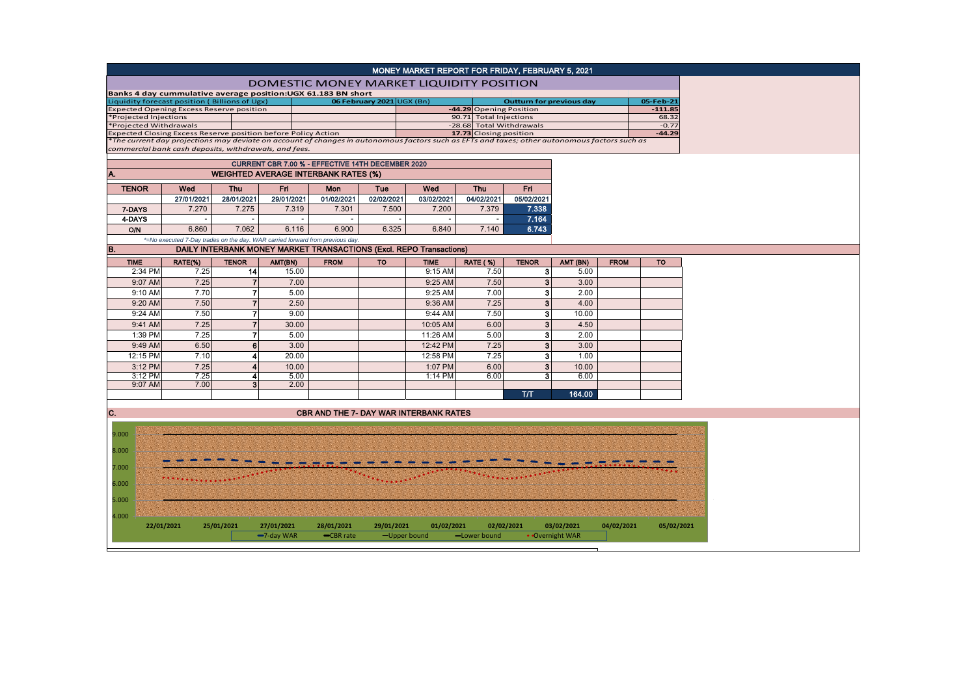|                                                                            |                                                                            |      |                          |                                                                               |                          |                                                                                                                                               | MONEY MARKET REPORT FOR FRIDAY, FEBRUARY 5, 2021                           |                                              |                                                    |                 |             |                     |  |  |
|----------------------------------------------------------------------------|----------------------------------------------------------------------------|------|--------------------------|-------------------------------------------------------------------------------|--------------------------|-----------------------------------------------------------------------------------------------------------------------------------------------|----------------------------------------------------------------------------|----------------------------------------------|----------------------------------------------------|-----------------|-------------|---------------------|--|--|
|                                                                            | DOMESTIC MONEY MARKET LIQUIDITY POSITION                                   |      |                          |                                                                               |                          |                                                                                                                                               |                                                                            |                                              |                                                    |                 |             |                     |  |  |
|                                                                            | Banks 4 day cummulative average position: UGX 61.183 BN short              |      |                          |                                                                               |                          |                                                                                                                                               |                                                                            |                                              |                                                    |                 |             |                     |  |  |
| Liquidity forecast position (Billions of Ugx)<br>06 February 2021 UGX (Bn) |                                                                            |      |                          |                                                                               |                          |                                                                                                                                               |                                                                            | <b>Outturn for previous day</b><br>05-Feb-21 |                                                    |                 |             |                     |  |  |
| <b>Expected Opening Excess Reserve position</b>                            |                                                                            |      |                          |                                                                               |                          |                                                                                                                                               |                                                                            |                                              | -44.29 Opening Position                            |                 |             |                     |  |  |
| *Projected Injections<br>*Projected Withdrawals                            |                                                                            |      |                          |                                                                               |                          |                                                                                                                                               |                                                                            |                                              | 90.71 Total Injections<br>-28.68 Total Withdrawals |                 |             |                     |  |  |
| Expected Closing Excess Reserve position before Policy Action              |                                                                            |      |                          |                                                                               |                          |                                                                                                                                               |                                                                            |                                              | 17.73 Closing position                             |                 |             | $-0.77$<br>$-44.29$ |  |  |
|                                                                            |                                                                            |      |                          |                                                                               |                          | *The current day projections may deviate on account of changes in autonomous factors such as EFTs and taxes; other autonomous factors such as |                                                                            |                                              |                                                    |                 |             |                     |  |  |
|                                                                            | commercial bank cash deposits, withdrawals, and fees.                      |      |                          |                                                                               |                          |                                                                                                                                               |                                                                            |                                              |                                                    |                 |             |                     |  |  |
|                                                                            | CURRENT CBR 7.00 % - EFFECTIVE 14TH DECEMBER 2020                          |      |                          |                                                                               |                          |                                                                                                                                               |                                                                            |                                              |                                                    |                 |             |                     |  |  |
| Α.                                                                         | <b>WEIGHTED AVERAGE INTERBANK RATES (%)</b>                                |      |                          |                                                                               |                          |                                                                                                                                               |                                                                            |                                              |                                                    |                 |             |                     |  |  |
| <b>TENOR</b>                                                               | Wed<br><b>Fri</b><br>Wed<br>Fri.<br><b>Thu</b><br>Mon<br>Tue<br><b>Thu</b> |      |                          |                                                                               |                          |                                                                                                                                               |                                                                            |                                              |                                                    |                 |             |                     |  |  |
|                                                                            | 27/01/2021                                                                 |      | 28/01/2021               | 29/01/2021                                                                    | 01/02/2021               | 02/02/2021                                                                                                                                    | 03/02/2021                                                                 | 04/02/2021                                   | 05/02/2021                                         |                 |             |                     |  |  |
| 7-DAYS                                                                     | 7.270                                                                      |      | 7.275                    | 7.319                                                                         | 7.301                    | 7.500                                                                                                                                         | 7.200                                                                      | 7.379                                        | 7.338                                              |                 |             |                     |  |  |
| 4-DAYS                                                                     |                                                                            |      | $\overline{\phantom{a}}$ |                                                                               | $\overline{\phantom{a}}$ |                                                                                                                                               |                                                                            |                                              | 7.164                                              |                 |             |                     |  |  |
| <b>O/N</b>                                                                 | 6.860                                                                      |      | 7.062                    | 6.116                                                                         | 6.900                    | 6.325                                                                                                                                         | 6.840                                                                      | 7.140                                        | 6.743                                              |                 |             |                     |  |  |
|                                                                            |                                                                            |      |                          | *=No executed 7-Day trades on the day. WAR carried forward from previous day. |                          |                                                                                                                                               |                                                                            |                                              |                                                    |                 |             |                     |  |  |
| B.                                                                         |                                                                            |      |                          |                                                                               |                          |                                                                                                                                               | <b>DAILY INTERBANK MONEY MARKET TRANSACTIONS (Excl. REPO Transactions)</b> |                                              |                                                    |                 |             |                     |  |  |
| <b>TIME</b>                                                                | RATE(%)                                                                    |      | <b>TENOR</b>             | AMT(BN)                                                                       | <b>FROM</b>              | <b>TO</b>                                                                                                                                     | <b>TIME</b>                                                                | <b>RATE (%)</b>                              | <b>TENOR</b>                                       | AMT (BN)        | <b>FROM</b> | <b>TO</b>           |  |  |
| 2:34 PM                                                                    |                                                                            | 7.25 | 14                       | 15.00                                                                         |                          |                                                                                                                                               | 9:15 AM                                                                    | 7.50                                         | 3                                                  | 5.00            |             |                     |  |  |
| 9:07 AM                                                                    |                                                                            | 7.25 | $\overline{7}$           | 7.00                                                                          |                          |                                                                                                                                               | 9:25 AM                                                                    | 7.50                                         | $\mathbf{3}$                                       | 3.00            |             |                     |  |  |
| 9:10 AM                                                                    |                                                                            | 7.70 | $\overline{7}$           | 5.00                                                                          |                          |                                                                                                                                               | 9:25 AM                                                                    | 7.00                                         | 3                                                  | 2.00            |             |                     |  |  |
| 9:20 AM                                                                    |                                                                            | 7.50 | $\overline{7}$           | 2.50                                                                          |                          |                                                                                                                                               | 9:36 AM                                                                    | 7.25                                         | 3                                                  | 4.00            |             |                     |  |  |
| 9:24 AM                                                                    |                                                                            | 7.50 | $\overline{7}$           | 9.00                                                                          |                          |                                                                                                                                               | 9:44 AM                                                                    | 7.50                                         | 3                                                  | 10.00           |             |                     |  |  |
| 9:41 AM                                                                    |                                                                            | 7.25 | $\overline{7}$           | 30.00                                                                         |                          |                                                                                                                                               | 10:05 AM                                                                   | 6.00                                         | 3                                                  | 4.50            |             |                     |  |  |
| 1:39 PM                                                                    |                                                                            | 7.25 | $\overline{7}$           | 5.00                                                                          |                          |                                                                                                                                               | 11:26 AM                                                                   | 5.00                                         | 3                                                  | 2.00            |             |                     |  |  |
| 9:49 AM                                                                    |                                                                            | 6.50 | $6\phantom{1}$           | 3.00                                                                          |                          |                                                                                                                                               | 12:42 PM                                                                   | 7.25                                         | 3                                                  | 3.00            |             |                     |  |  |
| 12:15 PM                                                                   |                                                                            | 7.10 | 4                        | 20.00                                                                         |                          |                                                                                                                                               | 12:58 PM                                                                   | 7.25                                         | 3                                                  | 1.00            |             |                     |  |  |
| 3:12 PM                                                                    |                                                                            | 7.25 | $\overline{\mathbf{4}}$  | 10.00                                                                         |                          |                                                                                                                                               | 1:07 PM                                                                    | 6.00                                         | $\mathbf{3}$                                       | 10.00           |             |                     |  |  |
| 3:12 PM                                                                    |                                                                            | 7.25 | 4                        | 5.00                                                                          |                          |                                                                                                                                               | 1:14 PM                                                                    | 6.00                                         | 3                                                  | 6.00            |             |                     |  |  |
| 9:07 AM                                                                    |                                                                            | 7.00 | 3 <sup>1</sup>           | 2.00                                                                          |                          |                                                                                                                                               |                                                                            |                                              |                                                    |                 |             |                     |  |  |
|                                                                            |                                                                            |      |                          |                                                                               |                          |                                                                                                                                               |                                                                            |                                              | T/T                                                | 164.00          |             |                     |  |  |
|                                                                            |                                                                            |      |                          |                                                                               |                          |                                                                                                                                               |                                                                            |                                              |                                                    |                 |             |                     |  |  |
| C.                                                                         |                                                                            |      |                          |                                                                               |                          |                                                                                                                                               | <b>CBR AND THE 7- DAY WAR INTERBANK RATES</b>                              |                                              |                                                    |                 |             |                     |  |  |
|                                                                            |                                                                            |      |                          |                                                                               |                          |                                                                                                                                               |                                                                            |                                              |                                                    |                 |             |                     |  |  |
| 9.000                                                                      |                                                                            |      |                          |                                                                               |                          |                                                                                                                                               |                                                                            |                                              |                                                    |                 |             |                     |  |  |
| 8.000                                                                      |                                                                            |      |                          |                                                                               |                          |                                                                                                                                               |                                                                            |                                              |                                                    |                 |             |                     |  |  |
|                                                                            |                                                                            |      |                          |                                                                               |                          |                                                                                                                                               |                                                                            |                                              |                                                    |                 |             |                     |  |  |
| 7.000                                                                      |                                                                            |      |                          |                                                                               |                          |                                                                                                                                               |                                                                            |                                              |                                                    |                 |             |                     |  |  |
| 6.000                                                                      |                                                                            |      |                          |                                                                               |                          |                                                                                                                                               |                                                                            |                                              |                                                    |                 |             |                     |  |  |
|                                                                            |                                                                            |      |                          |                                                                               |                          |                                                                                                                                               |                                                                            |                                              |                                                    |                 |             |                     |  |  |
| 5.000                                                                      |                                                                            |      |                          |                                                                               |                          |                                                                                                                                               |                                                                            |                                              |                                                    |                 |             |                     |  |  |
| 4.000                                                                      |                                                                            |      |                          |                                                                               |                          |                                                                                                                                               |                                                                            |                                              |                                                    |                 |             |                     |  |  |
|                                                                            | 22/01/2021                                                                 |      | 25/01/2021               | 27/01/2021                                                                    | 28/01/2021               | 29/01/2021                                                                                                                                    | 01/02/2021                                                                 | 02/02/2021                                   |                                                    | 03/02/2021      | 04/02/2021  | 05/02/2021          |  |  |
|                                                                            |                                                                            |      |                          | $-7$ -day WAR                                                                 | -CBR rate                |                                                                                                                                               | -Upper bound                                                               | -Lower bound                                 |                                                    | • Overnight WAR |             |                     |  |  |